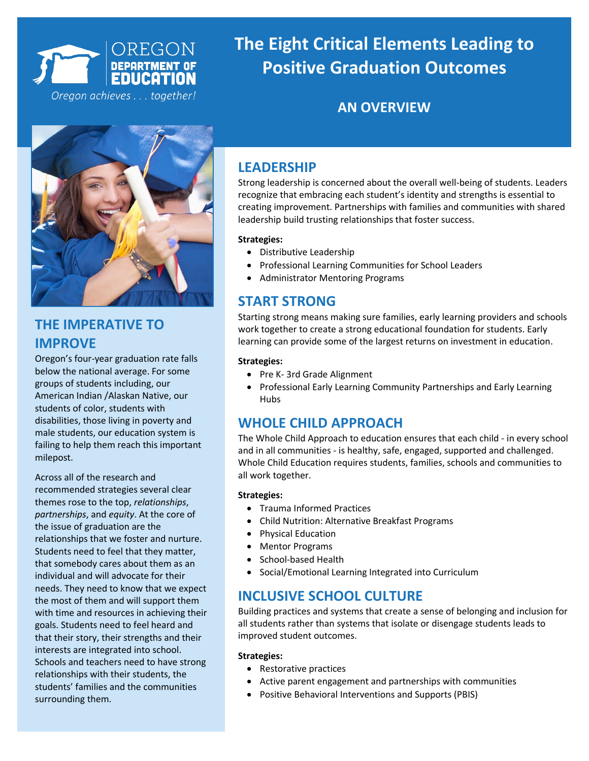

 **The Eight Critical Elements Leading to Positive Graduation Outcomes Positive Graduation Outcomes**

# **TARGET INDICATORS**



# **THE IMPERATIVE TO IMPROVE**

Oregon's four-year graduation rate falls below the national average. For some groups of students including, our American Indian /Alaskan Native, our students of color, students with disabilities, those living in poverty and male students, our education system is failing to help them reach this important milepost.

Across all of the research and recommended strategies several clear themes rose to the top, *relationships*, *partnerships*, and *equity*. At the core of the issue of graduation are the relationships that we foster and nurture. Students need to feel that they matter, that somebody cares about them as an individual and will advocate for their needs. They need to know that we expect the most of them and will support them with time and resources in achieving their goals. Students need to feel heard and that their story, their strengths and their interests are integrated into school. Schools and teachers need to have strong relationships with their students, the students' families and the communities surrounding them.

## **LEADERSHIP**

Strong leadership is concerned about the overall well-being of students. Leaders recognize that embracing each student's identity and strengths is essential to creating improvement. Partnerships with families and communities with shared leadership build trusting relationships that foster success.

### **Strategies:**

- Distributive Leadership
- Professional Learning Communities for School Leaders
- Administrator Mentoring Programs

# **START STRONG**

Starting strong means making sure families, early learning providers and schools work together to create a strong educational foundation for students. Early learning can provide some of the largest returns on investment in education.

### **Strategies:**

- Pre K- 3rd Grade Alignment
- Professional Early Learning Community Partnerships and Early Learning **Hubs**

# **WHOLE CHILD APPROACH**

The Whole Child Approach to education ensures that each child - in every school and in all communities - is healthy, safe, engaged, supported and challenged. Whole Child Education requires students, families, schools and communities to all work together.

### **Strategies:**

- Trauma Informed Practices
- Child Nutrition: Alternative Breakfast Programs
- Physical Education
- Mentor Programs
- School-based Health
- Social/Emotional Learning Integrated into Curriculum

# **INCLUSIVE SCHOOL CULTURE**

Building practices and systems that create a sense of belonging and inclusion for all students rather than systems that isolate or disengage students leads to improved student outcomes.

### **Strategies:**

- Restorative practices
- Active parent engagement and partnerships with communities
- Positive Behavioral Interventions and Supports (PBIS)